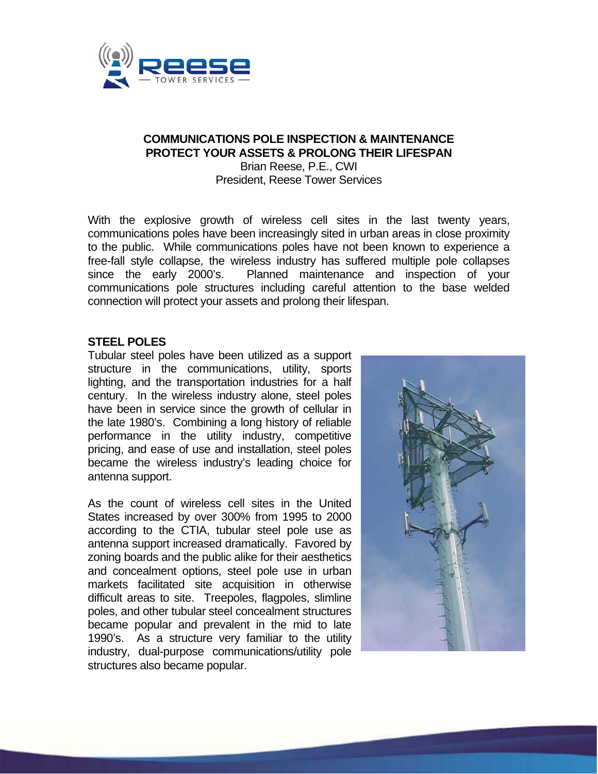

#### **COMMUNICATIONS POLE INSPECTION & MAINTENANCE PROTECT YOUR ASSETS & PROLONG THEIR LIFESPAN**  Brian Reese, P.E., CWI

President, Reese Tower Services

With the explosive growth of wireless cell sites in the last twenty years, communications poles have been increasingly sited in urban areas in close proximity to the public. While communications poles have not been known to experience a free-fall style collapse, the wireless industry has suffered multiple pole collapses since the early 2000's. Planned maintenance and inspection of your communications pole structures including careful attention to the base welded connection will protect your assets and prolong their lifespan.

#### **STEEL POLES**

Tubular steel poles have been utilized as a support structure in the communications, utility, sports lighting, and the transportation industries for a half century. In the wireless industry alone, steel poles have been in service since the growth of cellular in the late 1980's. Combining a long history of reliable performance in the utility industry, competitive pricing, and ease of use and installation, steel poles became the wireless industry's leading choice for antenna support.

As the count of wireless cell sites in the United States increased by over 300% from 1995 to 2000 according to the CTIA, tubular steel pole use as antenna support increased dramatically. Favored by zoning boards and the public alike for their aesthetics and concealment options, steel pole use in urban markets facilitated site acquisition in otherwise difficult areas to site. Treepoles, flagpoles, slimline poles, and other tubular steel concealment structures became popular and prevalent in the mid to late 1990's. As a structure very familiar to the utility industry, dual-purpose communications/utility pole structures also became popular.

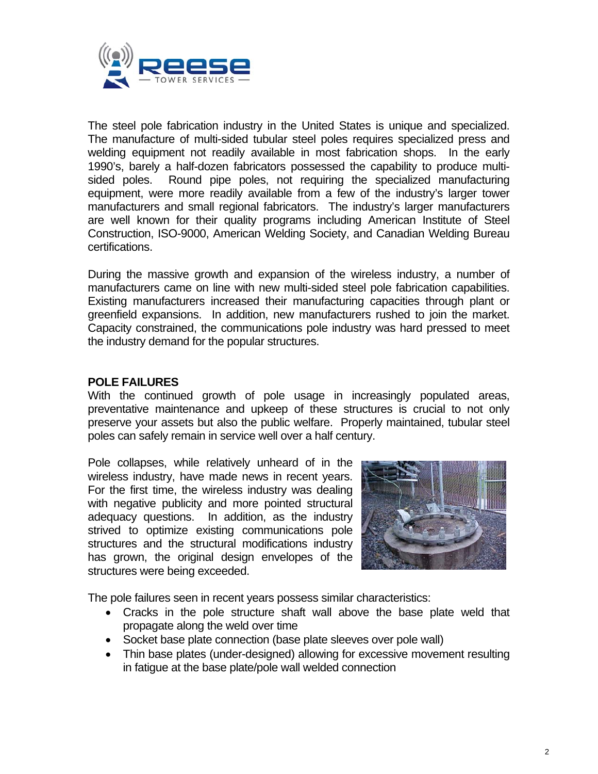

The steel pole fabrication industry in the United States is unique and specialized. The manufacture of multi-sided tubular steel poles requires specialized press and welding equipment not readily available in most fabrication shops. In the early 1990's, barely a half-dozen fabricators possessed the capability to produce multisided poles. Round pipe poles, not requiring the specialized manufacturing equipment, were more readily available from a few of the industry's larger tower manufacturers and small regional fabricators. The industry's larger manufacturers are well known for their quality programs including American Institute of Steel Construction, ISO-9000, American Welding Society, and Canadian Welding Bureau certifications.

During the massive growth and expansion of the wireless industry, a number of manufacturers came on line with new multi-sided steel pole fabrication capabilities. Existing manufacturers increased their manufacturing capacities through plant or greenfield expansions. In addition, new manufacturers rushed to join the market. Capacity constrained, the communications pole industry was hard pressed to meet the industry demand for the popular structures.

## **POLE FAILURES**

With the continued growth of pole usage in increasingly populated areas, preventative maintenance and upkeep of these structures is crucial to not only preserve your assets but also the public welfare. Properly maintained, tubular steel poles can safely remain in service well over a half century.

Pole collapses, while relatively unheard of in the wireless industry, have made news in recent years. For the first time, the wireless industry was dealing with negative publicity and more pointed structural adequacy questions. In addition, as the industry strived to optimize existing communications pole structures and the structural modifications industry has grown, the original design envelopes of the structures were being exceeded.



The pole failures seen in recent years possess similar characteristics:

- Cracks in the pole structure shaft wall above the base plate weld that propagate along the weld over time
- Socket base plate connection (base plate sleeves over pole wall)
- Thin base plates (under-designed) allowing for excessive movement resulting in fatigue at the base plate/pole wall welded connection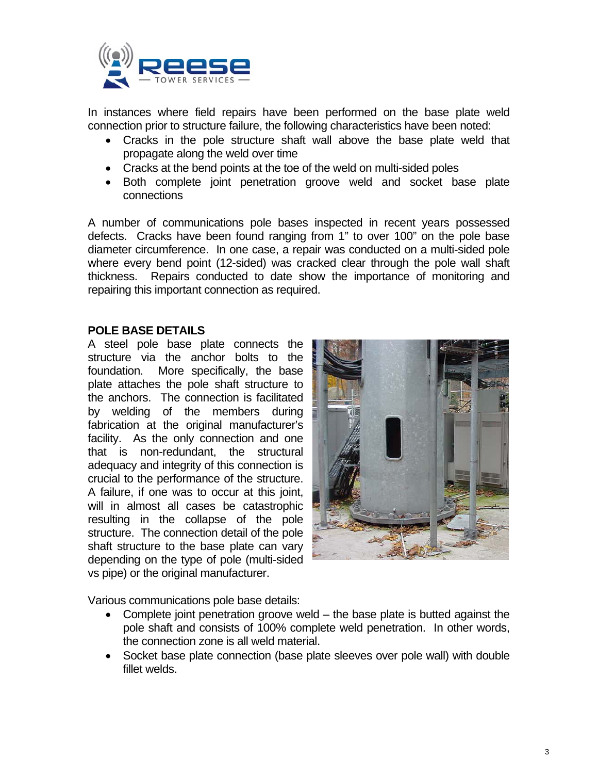

In instances where field repairs have been performed on the base plate weld connection prior to structure failure, the following characteristics have been noted:

- Cracks in the pole structure shaft wall above the base plate weld that propagate along the weld over time
- Cracks at the bend points at the toe of the weld on multi-sided poles
- Both complete joint penetration groove weld and socket base plate connections

A number of communications pole bases inspected in recent years possessed defects. Cracks have been found ranging from 1" to over 100" on the pole base diameter circumference. In one case, a repair was conducted on a multi-sided pole where every bend point (12-sided) was cracked clear through the pole wall shaft thickness. Repairs conducted to date show the importance of monitoring and repairing this important connection as required.

## **POLE BASE DETAILS**

A steel pole base plate connects the structure via the anchor bolts to the foundation. More specifically, the base plate attaches the pole shaft structure to the anchors. The connection is facilitated by welding of the members during fabrication at the original manufacturer's facility. As the only connection and one that is non-redundant, the structural adequacy and integrity of this connection is crucial to the performance of the structure. A failure, if one was to occur at this joint, will in almost all cases be catastrophic resulting in the collapse of the pole structure. The connection detail of the pole shaft structure to the base plate can vary depending on the type of pole (multi-sided vs pipe) or the original manufacturer.



Various communications pole base details:

- Complete joint penetration groove weld the base plate is butted against the pole shaft and consists of 100% complete weld penetration. In other words, the connection zone is all weld material.
- Socket base plate connection (base plate sleeves over pole wall) with double fillet welds.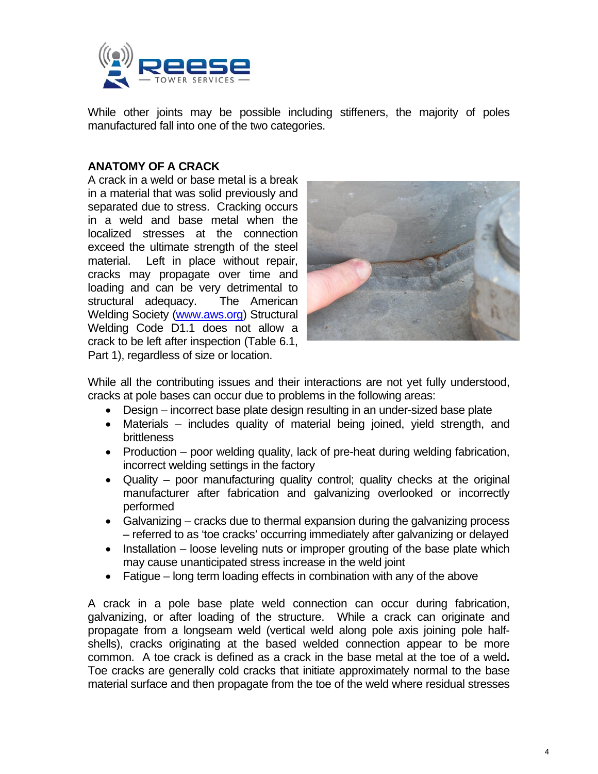

While other joints may be possible including stiffeners, the majority of poles manufactured fall into one of the two categories.

## **ANATOMY OF A CRACK**

A crack in a weld or base metal is a break in a material that was solid previously and separated due to stress. Cracking occurs in a weld and base metal when the localized stresses at the connection exceed the ultimate strength of the steel material. Left in place without repair, cracks may propagate over time and loading and can be very detrimental to structural adequacy. The American Welding Society (www.aws.org) Structural Welding Code D1.1 does not allow a crack to be left after inspection (Table 6.1, Part 1), regardless of size or location.



While all the contributing issues and their interactions are not yet fully understood, cracks at pole bases can occur due to problems in the following areas:

- Design incorrect base plate design resulting in an under-sized base plate
- Materials includes quality of material being joined, yield strength, and brittleness
- Production poor welding quality, lack of pre-heat during welding fabrication, incorrect welding settings in the factory
- Quality poor manufacturing quality control; quality checks at the original manufacturer after fabrication and galvanizing overlooked or incorrectly performed
- Galvanizing cracks due to thermal expansion during the galvanizing process – referred to as 'toe cracks' occurring immediately after galvanizing or delayed
- **Installation loose leveling nuts or improper grouting of the base plate which** may cause unanticipated stress increase in the weld joint
- Fatigue long term loading effects in combination with any of the above

A crack in a pole base plate weld connection can occur during fabrication, galvanizing, or after loading of the structure. While a crack can originate and propagate from a longseam weld (vertical weld along pole axis joining pole halfshells), cracks originating at the based welded connection appear to be more common. A toe crack is defined as a crack in the base metal at the toe of a weld**.**  Toe cracks are generally cold cracks that initiate approximately normal to the base material surface and then propagate from the toe of the weld where residual stresses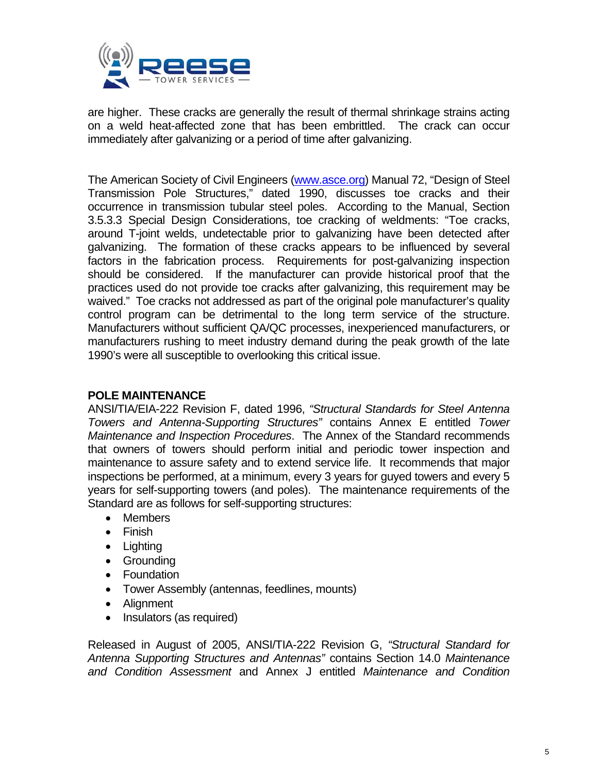

are higher. These cracks are generally the result of thermal shrinkage strains acting on a weld heat-affected zone that has been embrittled. The crack can occur immediately after galvanizing or a period of time after galvanizing.

The American Society of Civil Engineers (www.asce.org) Manual 72, "Design of Steel Transmission Pole Structures," dated 1990, discusses toe cracks and their occurrence in transmission tubular steel poles. According to the Manual, Section 3.5.3.3 Special Design Considerations, toe cracking of weldments: "Toe cracks, around T-joint welds, undetectable prior to galvanizing have been detected after galvanizing. The formation of these cracks appears to be influenced by several factors in the fabrication process. Requirements for post-galvanizing inspection should be considered. If the manufacturer can provide historical proof that the practices used do not provide toe cracks after galvanizing, this requirement may be waived." Toe cracks not addressed as part of the original pole manufacturer's quality control program can be detrimental to the long term service of the structure. Manufacturers without sufficient QA/QC processes, inexperienced manufacturers, or manufacturers rushing to meet industry demand during the peak growth of the late 1990's were all susceptible to overlooking this critical issue.

# **POLE MAINTENANCE**

ANSI/TIA/EIA-222 Revision F, dated 1996, *"Structural Standards for Steel Antenna Towers and Antenna-Supporting Structures"* contains Annex E entitled *Tower Maintenance and Inspection Procedures*. The Annex of the Standard recommends that owners of towers should perform initial and periodic tower inspection and maintenance to assure safety and to extend service life. It recommends that major inspections be performed, at a minimum, every 3 years for guyed towers and every 5 years for self-supporting towers (and poles). The maintenance requirements of the Standard are as follows for self-supporting structures:

- Members
- Finish
- Lighting
- **•** Grounding
- Foundation
- Tower Assembly (antennas, feedlines, mounts)
- Alignment
- Insulators (as required)

Released in August of 2005, ANSI/TIA-222 Revision G, *"Structural Standard for Antenna Supporting Structures and Antennas"* contains Section 14.0 *Maintenance and Condition Assessment* and Annex J entitled *Maintenance and Condition*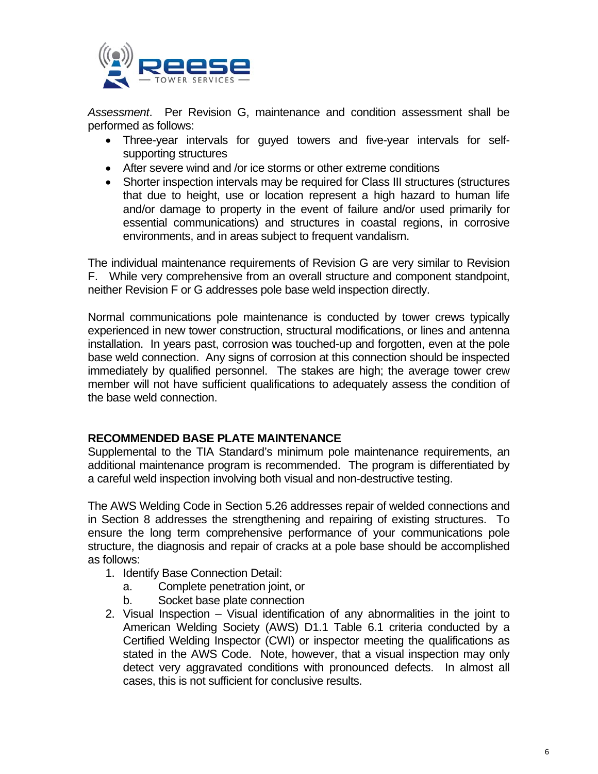

*Assessment*. Per Revision G, maintenance and condition assessment shall be performed as follows:

- Three-year intervals for guyed towers and five-year intervals for selfsupporting structures
- After severe wind and /or ice storms or other extreme conditions
- Shorter inspection intervals may be required for Class III structures (structures that due to height, use or location represent a high hazard to human life and/or damage to property in the event of failure and/or used primarily for essential communications) and structures in coastal regions, in corrosive environments, and in areas subject to frequent vandalism.

The individual maintenance requirements of Revision G are very similar to Revision F. While very comprehensive from an overall structure and component standpoint, neither Revision F or G addresses pole base weld inspection directly.

Normal communications pole maintenance is conducted by tower crews typically experienced in new tower construction, structural modifications, or lines and antenna installation. In years past, corrosion was touched-up and forgotten, even at the pole base weld connection. Any signs of corrosion at this connection should be inspected immediately by qualified personnel. The stakes are high; the average tower crew member will not have sufficient qualifications to adequately assess the condition of the base weld connection.

## **RECOMMENDED BASE PLATE MAINTENANCE**

Supplemental to the TIA Standard's minimum pole maintenance requirements, an additional maintenance program is recommended. The program is differentiated by a careful weld inspection involving both visual and non-destructive testing.

The AWS Welding Code in Section 5.26 addresses repair of welded connections and in Section 8 addresses the strengthening and repairing of existing structures. To ensure the long term comprehensive performance of your communications pole structure, the diagnosis and repair of cracks at a pole base should be accomplished as follows:

- 1. Identify Base Connection Detail:
	- a. Complete penetration joint, or
	- b. Socket base plate connection
- 2. Visual Inspection Visual identification of any abnormalities in the joint to American Welding Society (AWS) D1.1 Table 6.1 criteria conducted by a Certified Welding Inspector (CWI) or inspector meeting the qualifications as stated in the AWS Code. Note, however, that a visual inspection may only detect very aggravated conditions with pronounced defects. In almost all cases, this is not sufficient for conclusive results.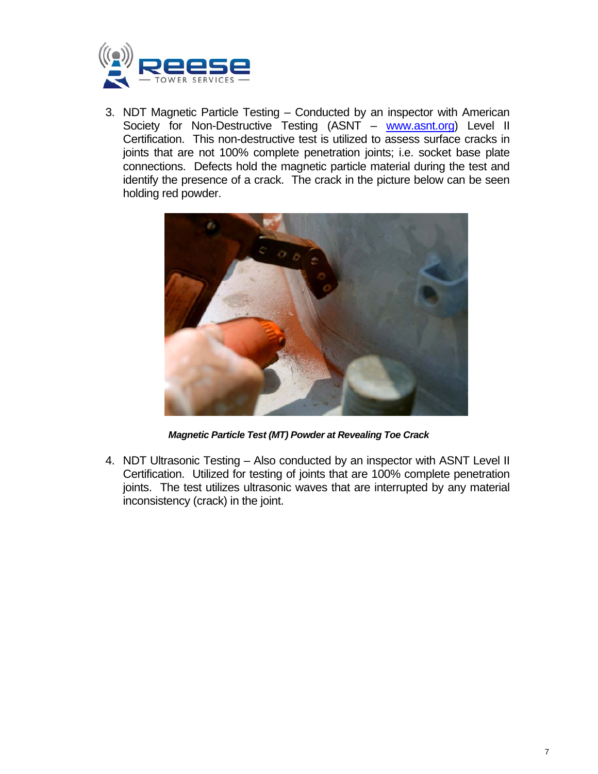

3. NDT Magnetic Particle Testing – Conducted by an inspector with American Society for Non-Destructive Testing (ASNT – www.asnt.org) Level II Certification. This non-destructive test is utilized to assess surface cracks in joints that are not 100% complete penetration joints; i.e. socket base plate connections. Defects hold the magnetic particle material during the test and identify the presence of a crack. The crack in the picture below can be seen holding red powder.



*Magnetic Particle Test (MT) Powder at Revealing Toe Crack* 

4. NDT Ultrasonic Testing – Also conducted by an inspector with ASNT Level II Certification. Utilized for testing of joints that are 100% complete penetration joints. The test utilizes ultrasonic waves that are interrupted by any material inconsistency (crack) in the joint.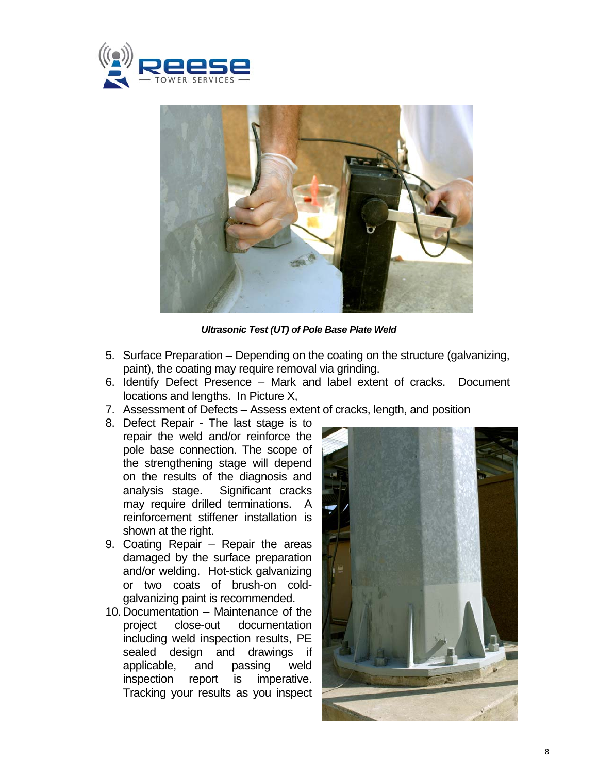



*Ultrasonic Test (UT) of Pole Base Plate Weld* 

- 5. Surface Preparation Depending on the coating on the structure (galvanizing, paint), the coating may require removal via grinding.
- 6. Identify Defect Presence Mark and label extent of cracks. Document locations and lengths. In Picture X,
- 7. Assessment of Defects Assess extent of cracks, length, and position
- 8. Defect Repair The last stage is to repair the weld and/or reinforce the pole base connection. The scope of the strengthening stage will depend on the results of the diagnosis and analysis stage. Significant cracks may require drilled terminations. A reinforcement stiffener installation is shown at the right.
- 9. Coating Repair Repair the areas damaged by the surface preparation and/or welding. Hot-stick galvanizing or two coats of brush-on coldgalvanizing paint is recommended.
- 10. Documentation Maintenance of the project close-out documentation including weld inspection results, PE sealed design and drawings if applicable, and passing weld inspection report is imperative. Tracking your results as you inspect